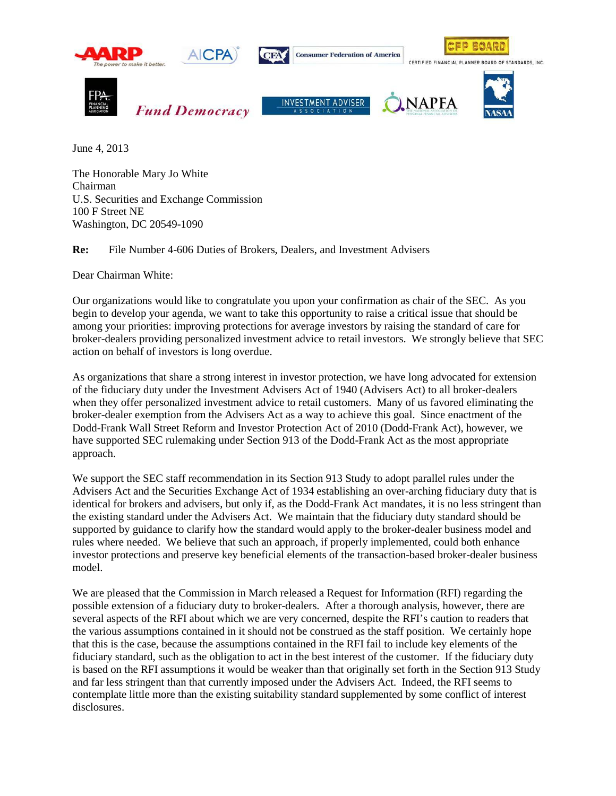

June 4, 2013

The Honorable Mary Jo White Chairman U.S. Securities and Exchange Commission 100 F Street NE Washington, DC 20549-1090

**Re:** File Number 4-606 Duties of Brokers, Dealers, and Investment Advisers

Dear Chairman White:

Our organizations would like to congratulate you upon your confirmation as chair of the SEC. As you begin to develop your agenda, we want to take this opportunity to raise a critical issue that should be among your priorities: improving protections for average investors by raising the standard of care for broker-dealers providing personalized investment advice to retail investors. We strongly believe that SEC action on behalf of investors is long overdue.

As organizations that share a strong interest in investor protection, we have long advocated for extension of the fiduciary duty under the Investment Advisers Act of 1940 (Advisers Act) to all broker-dealers when they offer personalized investment advice to retail customers. Many of us favored eliminating the broker-dealer exemption from the Advisers Act as a way to achieve this goal. Since enactment of the Dodd-Frank Wall Street Reform and Investor Protection Act of 2010 (Dodd-Frank Act), however, we have supported SEC rulemaking under Section 913 of the Dodd-Frank Act as the most appropriate approach.

We support the SEC staff recommendation in its Section 913 Study to adopt parallel rules under the Advisers Act and the Securities Exchange Act of 1934 establishing an over-arching fiduciary duty that is identical for brokers and advisers, but only if, as the Dodd-Frank Act mandates, it is no less stringent than the existing standard under the Advisers Act. We maintain that the fiduciary duty standard should be supported by guidance to clarify how the standard would apply to the broker-dealer business model and rules where needed. We believe that such an approach, if properly implemented, could both enhance investor protections and preserve key beneficial elements of the transaction-based broker-dealer business model.

We are pleased that the Commission in March released a Request for Information (RFI) regarding the possible extension of a fiduciary duty to broker-dealers. After a thorough analysis, however, there are several aspects of the RFI about which we are very concerned, despite the RFI's caution to readers that the various assumptions contained in it should not be construed as the staff position. We certainly hope that this is the case, because the assumptions contained in the RFI fail to include key elements of the fiduciary standard, such as the obligation to act in the best interest of the customer. If the fiduciary duty is based on the RFI assumptions it would be weaker than that originally set forth in the Section 913 Study and far less stringent than that currently imposed under the Advisers Act. Indeed, the RFI seems to contemplate little more than the existing suitability standard supplemented by some conflict of interest disclosures.